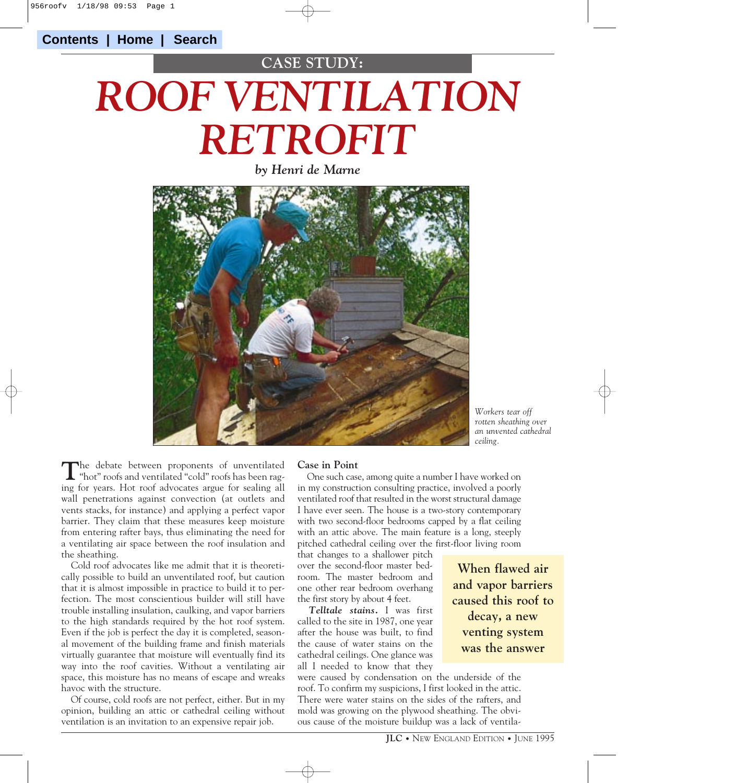# *ROOF VENTILATION RETROFIT* **CASE STUDY:**

*by Henri de Marne*



*Workers tear off rotten sheathing over an unvented cathedral ceiling.*

The debate between proponents of unventilated "cold" roofs has been raging for years. Hot roof advocates argue for sealing all wall penetrations against convection (at outlets and vents stacks, for instance) and applying a perfect vapor barrier. They claim that these measures keep moisture from entering rafter bays, thus eliminating the need for a ventilating air space between the roof insulation and the sheathing.

Cold roof advocates like me admit that it is theoretically possible to build an unventilated roof, but caution that it is almost impossible in practice to build it to perfection. The most conscientious builder will still have trouble installing insulation, caulking, and vapor barriers to the high standards required by the hot roof system. Even if the job is perfect the day it is completed, seasonal movement of the building frame and finish materials virtually guarantee that moisture will eventually find its way into the roof cavities. Without a ventilating air space, this moisture has no means of escape and wreaks havoc with the structure.

Of course, cold roofs are not perfect, either. But in my opinion, building an attic or cathedral ceiling without ventilation is an invitation to an expensive repair job.

#### **Case in Point**

One such case, among quite a number I have worked on in my construction consulting practice, involved a poorly ventilated roof that resulted in the worst structural damage I have ever seen. The house is a two-story contemporary with two second-floor bedrooms capped by a flat ceiling with an attic above. The main feature is a long, steeply pitched cathedral ceiling over the first-floor living room

that changes to a shallower pitch over the second-floor master bedroom. The master bedroom and one other rear bedroom overhang the first story by about 4 feet.

*Telltale stains.* I was first called to the site in 1987, one year after the house was built, to find the cause of water stains on the cathedral ceilings. One glance was all I needed to know that they

**When flawed air and vapor barriers caused this roof to decay, a new venting system was the answer**

were caused by condensation on the underside of the roof. To confirm my suspicions, I first looked in the attic. There were water stains on the sides of the rafters, and mold was growing on the plywood sheathing. The obvious cause of the moisture buildup was a lack of ventila-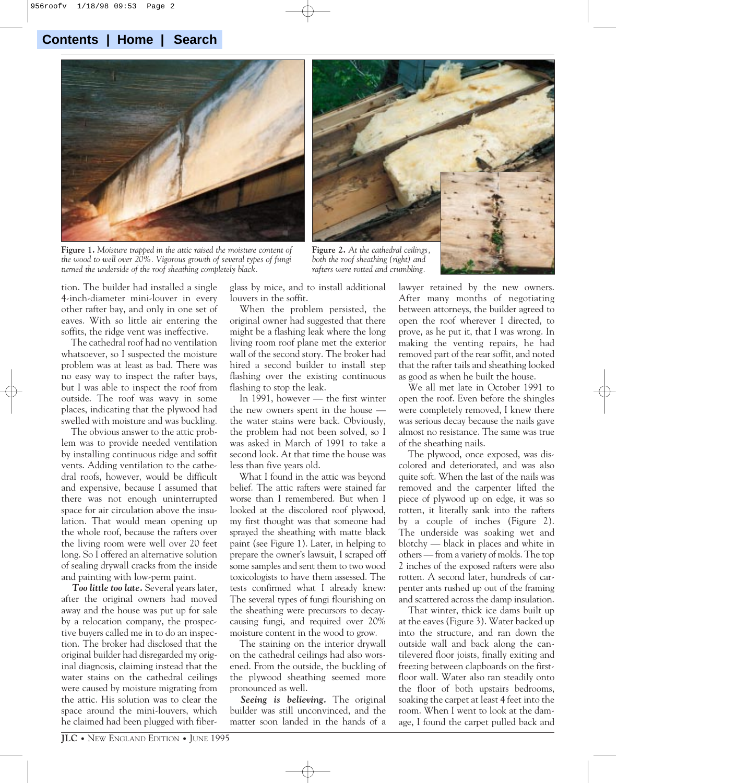### **Contents | Home | Search**



**Figure 1.** *Moisture trapped in the attic raised the moisture content of the wood to well over 20%. Vigorous growth of several types of fungi turned the underside of the roof sheathing completely black.*

glass by mice, and to install additional louvers in the soffit.

**Figure 2.** *At the cathedral ceilings, both the roof sheathing (right) and rafters were rotted and crumbling.*

tion. The builder had installed a single 4-inch-diameter mini-louver in every other rafter bay, and only in one set of eaves. With so little air entering the soffits, the ridge vent was ineffective.

The cathedral roof had no ventilation whatsoever, so I suspected the moisture problem was at least as bad. There was no easy way to inspect the rafter bays, but I was able to inspect the roof from outside. The roof was wavy in some places, indicating that the plywood had swelled with moisture and was buckling.

The obvious answer to the attic problem was to provide needed ventilation by installing continuous ridge and soffit vents. Adding ventilation to the cathedral roofs, however, would be difficult and expensive, because I assumed that there was not enough uninterrupted space for air circulation above the insulation. That would mean opening up the whole roof, because the rafters over the living room were well over 20 feet long. So I offered an alternative solution of sealing drywall cracks from the inside and painting with low-perm paint.

*Too little too late.* Several years later, after the original owners had moved away and the house was put up for sale by a relocation company, the prospective buyers called me in to do an inspection. The broker had disclosed that the original builder had disregarded my original diagnosis, claiming instead that the water stains on the cathedral ceilings were caused by moisture migrating from the attic. His solution was to clear the space around the mini-louvers, which he claimed had been plugged with fiber-

When the problem persisted, the original owner had suggested that there might be a flashing leak where the long living room roof plane met the exterior wall of the second story. The broker had hired a second builder to install step flashing over the existing continuous flashing to stop the leak.

In 1991, however — the first winter the new owners spent in the house the water stains were back. Obviously, the problem had not been solved, so I was asked in March of 1991 to take a second look. At that time the house was less than five years old.

What I found in the attic was beyond belief. The attic rafters were stained far worse than I remembered. But when I looked at the discolored roof plywood, my first thought was that someone had sprayed the sheathing with matte black paint (see Figure 1). Later, in helping to prepare the owner's lawsuit, I scraped off some samples and sent them to two wood toxicologists to have them assessed. The tests confirmed what I already knew: The several types of fungi flourishing on the sheathing were precursors to decaycausing fungi, and required over 20% moisture content in the wood to grow.

The staining on the interior drywall on the cathedral ceilings had also worsened. From the outside, the buckling of the plywood sheathing seemed more pronounced as well.

*Seeing is believing.* The original builder was still unconvinced, and the matter soon landed in the hands of a lawyer retained by the new owners. After many months of negotiating between attorneys, the builder agreed to open the roof wherever I directed, to prove, as he put it, that I was wrong. In making the venting repairs, he had removed part of the rear soffit, and noted that the rafter tails and sheathing looked as good as when he built the house.

We all met late in October 1991 to open the roof. Even before the shingles were completely removed, I knew there was serious decay because the nails gave almost no resistance. The same was true of the sheathing nails.

The plywood, once exposed, was discolored and deteriorated, and was also quite soft. When the last of the nails was removed and the carpenter lifted the piece of plywood up on edge, it was so rotten, it literally sank into the rafters by a couple of inches (Figure 2). The underside was soaking wet and blotchy — black in places and white in others — from a variety of molds. The top 2 inches of the exposed rafters were also rotten. A second later, hundreds of carpenter ants rushed up out of the framing and scattered across the damp insulation.

That winter, thick ice dams built up at the eaves (Figure 3). Water backed up into the structure, and ran down the outside wall and back along the cantilevered floor joists, finally exiting and freezing between clapboards on the firstfloor wall. Water also ran steadily onto the floor of both upstairs bedrooms, soaking the carpet at least 4 feet into the room. When I went to look at the damage, I found the carpet pulled back and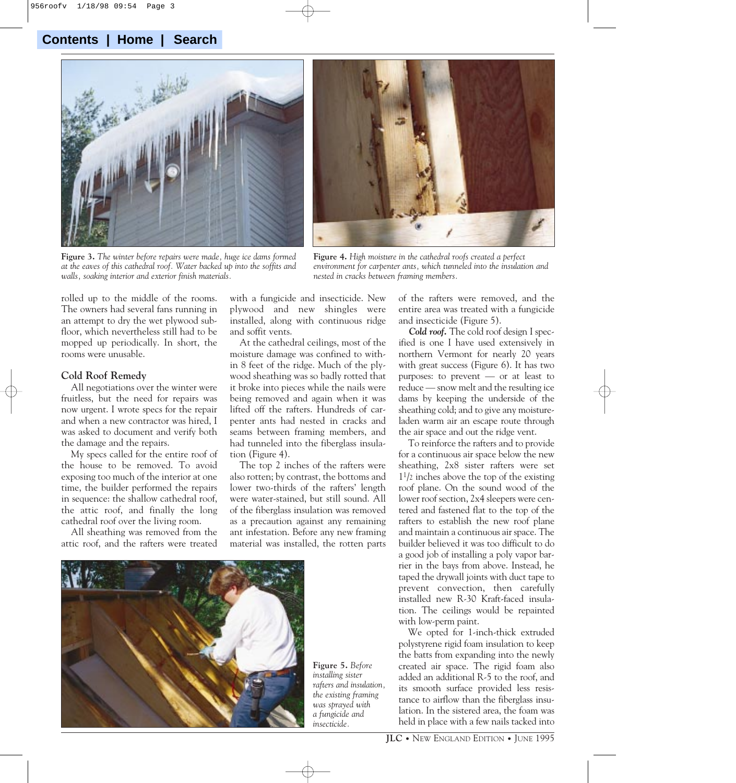## **Contents | Home | Search**



**Figure 3.** *The winter before repairs were made, huge ice dams formed at the eaves of this cathedral roof. Water backed up into the soffits and walls, soaking interior and exterior finish materials.*



**Figure 4.** *High moisture in the cathedral roofs created a perfect environment for carpenter ants, which tunneled into the insulation and nested in cracks between framing members.*

rolled up to the middle of the rooms. The owners had several fans running in an attempt to dry the wet plywood subfloor, which nevertheless still had to be mopped up periodically. In short, the rooms were unusable.

#### **Cold Roof Remedy**

All negotiations over the winter were fruitless, but the need for repairs was now urgent. I wrote specs for the repair and when a new contractor was hired, I was asked to document and verify both the damage and the repairs.

My specs called for the entire roof of the house to be removed. To avoid exposing too much of the interior at one time, the builder performed the repairs in sequence: the shallow cathedral roof, the attic roof, and finally the long cathedral roof over the living room.

All sheathing was removed from the attic roof, and the rafters were treated

with a fungicide and insecticide. New plywood and new shingles were installed, along with continuous ridge and soffit vents.

At the cathedral ceilings, most of the moisture damage was confined to within 8 feet of the ridge. Much of the plywood sheathing was so badly rotted that it broke into pieces while the nails were being removed and again when it was lifted off the rafters. Hundreds of carpenter ants had nested in cracks and seams between framing members, and had tunneled into the fiberglass insulation (Figure 4).

The top 2 inches of the rafters were also rotten; by contrast, the bottoms and lower two-thirds of the rafters' length were water-stained, but still sound. All of the fiberglass insulation was removed as a precaution against any remaining ant infestation. Before any new framing material was installed, the rotten parts



**Figure 5.** *Before installing sister rafters and insulation, the existing framing was sprayed with a fungicide and insecticide.*

of the rafters were removed, and the entire area was treated with a fungicide and insecticide (Figure 5).

*Cold roof.* The cold roof design I specified is one I have used extensively in northern Vermont for nearly 20 years with great success (Figure 6). It has two purposes: to prevent — or at least to reduce — snow melt and the resulting ice dams by keeping the underside of the sheathing cold; and to give any moistureladen warm air an escape route through the air space and out the ridge vent.

To reinforce the rafters and to provide for a continuous air space below the new sheathing, 2x8 sister rafters were set 11/2 inches above the top of the existing roof plane. On the sound wood of the lower roof section, 2x4 sleepers were centered and fastened flat to the top of the rafters to establish the new roof plane and maintain a continuous air space. The builder believed it was too difficult to do a good job of installing a poly vapor barrier in the bays from above. Instead, he taped the drywall joints with duct tape to prevent convection, then carefully installed new R-30 Kraft-faced insulation. The ceilings would be repainted with low-perm paint.

We opted for 1-inch-thick extruded polystyrene rigid foam insulation to keep the batts from expanding into the newly created air space. The rigid foam also added an additional R-5 to the roof, and its smooth surface provided less resistance to airflow than the fiberglass insulation. In the sistered area, the foam was held in place with a few nails tacked into